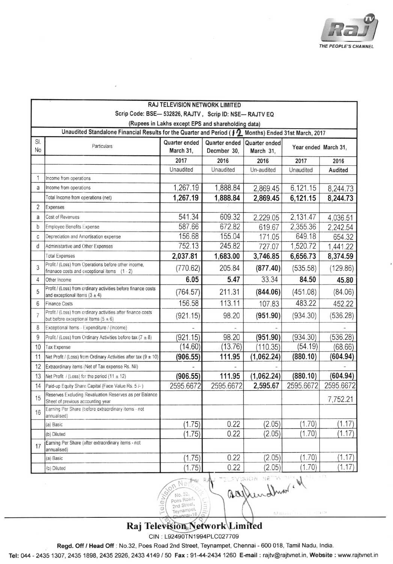

| RAJ TELEVISION NETWORK LIMITED                                                                         |                                                                                                            |                   |                   |                    |                      |           |  |  |
|--------------------------------------------------------------------------------------------------------|------------------------------------------------------------------------------------------------------------|-------------------|-------------------|--------------------|----------------------|-----------|--|--|
| Scrip Code: BSE- 532826, RAJTV, Scrip ID: NSE- RAJTV EQ                                                |                                                                                                            |                   |                   |                    |                      |           |  |  |
| (Rupees in Lakhs except EPS and shareholding data)                                                     |                                                                                                            |                   |                   |                    |                      |           |  |  |
| Unaudited Standalone Financial Results for the Quarter and Period (   2 Months) Ended 31st March, 2017 |                                                                                                            |                   |                   |                    |                      |           |  |  |
| SI.<br>No                                                                                              | Particulars                                                                                                | Quarter ended     | Quarter ended     | Quarter ended      | Year ended March 31, |           |  |  |
|                                                                                                        |                                                                                                            | March 31,         | Decmber 30,       | March 31,          |                      |           |  |  |
|                                                                                                        |                                                                                                            | 2017<br>Unaudited | 2016<br>Unaudited | 2016<br>Un-audited | 2017<br>Unaudited    | 2016      |  |  |
| 1                                                                                                      | Income from operations                                                                                     |                   |                   |                    |                      | Audited   |  |  |
| a                                                                                                      | Income from operations                                                                                     | 1,267.19          | 1,888.84          | 2,869.45           | 6,121.15             | 8,244.73  |  |  |
|                                                                                                        | Total Income from operations (net)                                                                         | 1,267.19          | 1,888.84          | 2,869.45           | 6,121.15             | 8,244.73  |  |  |
| 2                                                                                                      | Expenses                                                                                                   |                   |                   |                    |                      |           |  |  |
| a                                                                                                      | Cost of Revenues                                                                                           | 541.34            | 609.32            | 2,229.05           | 2,131.47             | 4,036.51  |  |  |
| b                                                                                                      | Employee Benefits Expense                                                                                  | 587.66            | 672.82            | 619.67             | 2,355.36             | 2,242.54  |  |  |
| C                                                                                                      | Depreciation and Amortisation expense                                                                      | 156.68            | 155.04            | 171.05             | 649.18               | 654.32    |  |  |
| d                                                                                                      | Administartive and Other Expenses                                                                          | 752.13            | 245.82            | 727.07             | 1,520.72             | 1,441 22  |  |  |
|                                                                                                        | <b>Total Expenses</b>                                                                                      | 2,037.81          | 1,683.00          | 3,746.85           | 6,656.73             | 8,374.59  |  |  |
| 3                                                                                                      | Profit / (Loss) from Operations before other income,<br>finanace costs and exceptional items $(1 - 2)$     | (770.62)          | 205.84            | (877.40)           | (535.58)             | (129.86)  |  |  |
| 4                                                                                                      | Other Income                                                                                               | 6.05              | 5.47              | 33.34              | 84.50                | 45.80     |  |  |
| 5                                                                                                      | Profit / (Loss) from ordinary activities before finance costs<br>and exceptional Items $(3 \pm 4)$         | (764.57)          | 211.31            | (844.06)           | (451.08)             | (84.06)   |  |  |
| 6                                                                                                      | <b>Finance Costs</b>                                                                                       | 156.58            | 113.11            | 107.83             | 483.22               | 452.22    |  |  |
| $\overline{7}$                                                                                         | Profit / (Loss) from ordinary activities after finance costs<br>but before exceptional Items ( $5 \pm 6$ ) | (921.15)          | 98.20             | (951.90)           | (934.30)             | (536.28)  |  |  |
| 8                                                                                                      | Exceptional Items - Expenditure / (Income)                                                                 |                   |                   |                    |                      |           |  |  |
| 9                                                                                                      | Profit / (Loss) from Ordinary Activities before tax $(7 \pm 8)$                                            | (921.15)          | 98.20             | (951.90)           | (934.30)             | (536.28)  |  |  |
| 10                                                                                                     | <b>Tax Expense</b>                                                                                         | (14.60)           | (13.76)           | (110.35)           | (54.19)              | (68.66)   |  |  |
| 11                                                                                                     | Net Profit / (Loss) from Ordinary Activities after tax (9 $\pm$ 10)                                        | (906.55)          | 111.95            | (1,062.24)         | (880.10)             | (604.94)  |  |  |
| 12                                                                                                     | Extraordinary items (Net of Tax expense Rs. Nil)                                                           |                   |                   |                    |                      |           |  |  |
| 13                                                                                                     | Net Profit / (Loss) for the period $(11 \pm 12)$                                                           | (906.55)          | 111.95            | (1,062.24)         | (880.10)             | (604.94)  |  |  |
| 14                                                                                                     | Paid-up Equity Share Capital (Face Value Rs. 5 /-)                                                         | 2595.6672         | 2595.6672         | 2,595.67           | 2595.6672            | 2595.6672 |  |  |
| 15                                                                                                     | Reserves Excluding Revaluation Reserves as per Balance<br>Sheet of previous accounting year                |                   |                   |                    |                      | 7,752.21  |  |  |
| 16                                                                                                     | Earning Per Share (before extraordinary items - not<br>annualised)                                         |                   |                   |                    |                      |           |  |  |
|                                                                                                        | (a) Basic                                                                                                  | (1.75)            | 0.22              | (2.05)             | (1.70)               | (1.17)    |  |  |
|                                                                                                        | (b) Diluted                                                                                                | (1.75)            | 0.22              | (2.05)             | (1.70)               | (1.17)    |  |  |
| 17                                                                                                     | Earning Per Share (after extraordinary items - not<br>annualised)                                          |                   |                   |                    |                      |           |  |  |
|                                                                                                        | (a) Basic                                                                                                  | (1.75)            | 0.22              | (2.05)             | (1.70)               | (1.17)    |  |  |
|                                                                                                        | (b) Diluted                                                                                                | (1.75)            | 0.22              | (2.05)             | (1.70)               | (1.17)    |  |  |
|                                                                                                        | $\sim$ $\approx$ $\sim$ $\sim$ $\sim$ $\sim$<br>action very end<br>Son Netter RA                           |                   |                   |                    |                      |           |  |  |

Raj Television Network Limited

Poes Road, 2nd Street

Teynamp

 $\Theta$ 

 $\overline{9}$ 

 $0.321$ 

CIN: L92490TN1994PLC027709

Regd. Off / Head Off : No.32, Poes Road 2nd Street, Teynampet, Chennai - 600 018, Tamil Nadu, India.

Tel: 044 - 2435 1307, 2435 1898, 2435 2926, 2433 4149 / 50 Fax: 91-44-2434 1260 E-mail: rajtv@rajtvnet.in, Website: www.rajtvnet.in